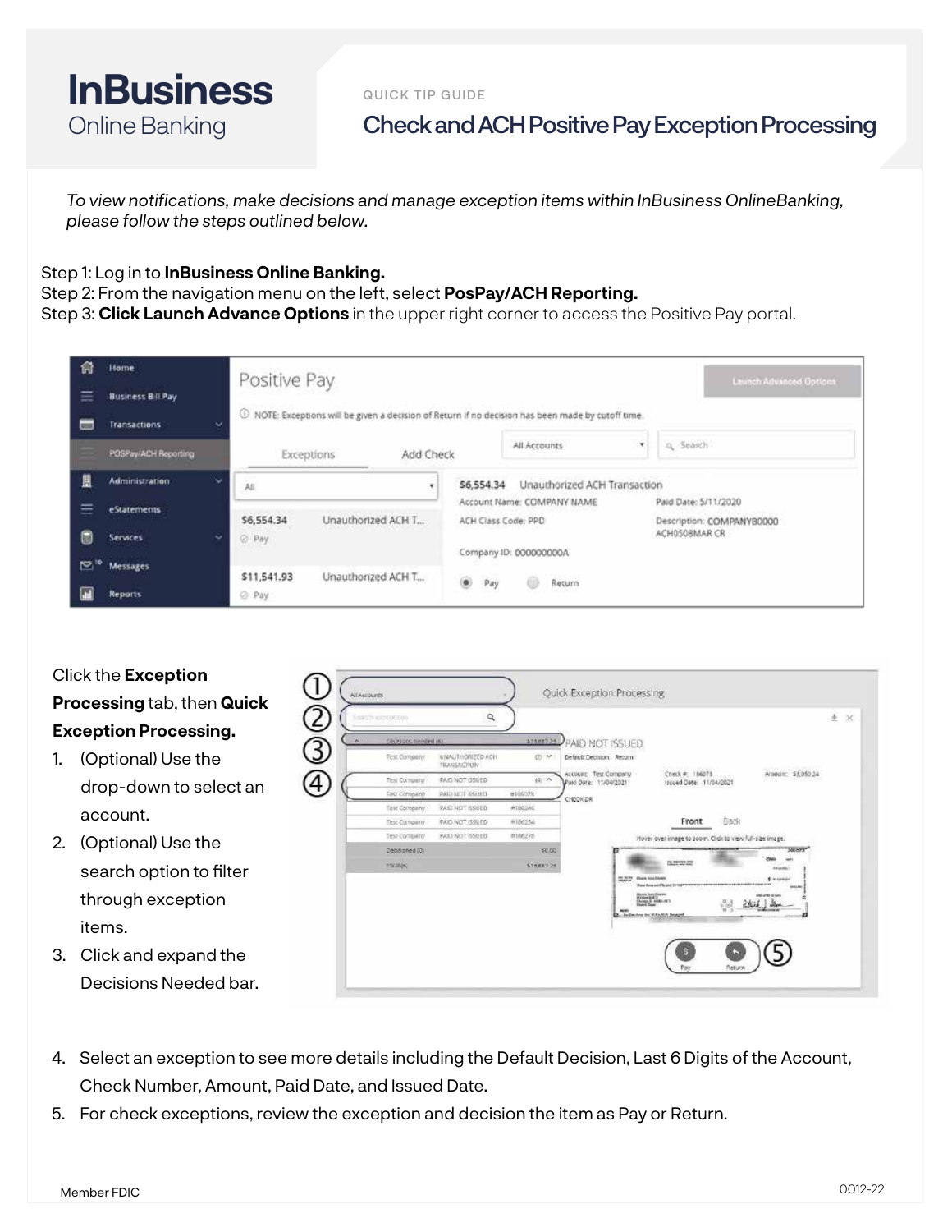

QUICK TIP GUIDE

## Check and ACH Positive Pay Exception Processing

*To view notifications, make decisions and manage exception items within InBusiness OnlineBanking, please follow the steps outlined below.* 

## Step 1: Log in to **InBusiness Online Banking.**

Step 2: From the navigation menu on the left, select **PosPay/ACH Reporting.**

Step 3: **Click Launch Advance Options** in the upper right corner to access the Positive Pay portal.

| 侖<br>Ξ<br>$\equiv$ | Home<br><b>Business Bill Pay</b><br><b>Transactions</b> | Positive Pay<br>Launch Advanced Options<br>1 NOTE: Exceptions will be given a decision of Return if no decision has been made by cutoff time. |                                                   |                                                   |  |  |  |  |  |  |
|--------------------|---------------------------------------------------------|-----------------------------------------------------------------------------------------------------------------------------------------------|---------------------------------------------------|---------------------------------------------------|--|--|--|--|--|--|
|                    | POSPay/ACH Reporting                                    | $\ddot{}$<br>Add Check<br>Exceptions                                                                                                          | All Accounts<br>$\star$                           | g Search                                          |  |  |  |  |  |  |
| 凰                  | <b>Administration</b>                                   | s.<br>All<br>٠.                                                                                                                               | Unauthorized ACH Transaction<br>\$6,554.34        |                                                   |  |  |  |  |  |  |
| ≡                  | <i>eStatements</i>                                      | Unauthorized ACH T<br>\$6,554.34                                                                                                              | Account Name: COMPANY NAME<br>ACH Class Code: PPD | Paid Date: 5/11/2020<br>Description: COMPANYB0000 |  |  |  |  |  |  |
| 6                  | <b>Services</b>                                         | v<br>C Pay                                                                                                                                    | Company ID: 000000000A                            | ACH0SOBMAR CR                                     |  |  |  |  |  |  |
|                    | <sup>10</sup> Messages                                  |                                                                                                                                               |                                                   |                                                   |  |  |  |  |  |  |
|                    | <b>Reports</b>                                          | Unauthorized ACH T<br>\$11,541.93<br>@ Pay                                                                                                    | ۵<br>Return<br>Pay                                |                                                   |  |  |  |  |  |  |

| Click the Exception          |              |                                         |                                     |                       |                                                                                                |
|------------------------------|--------------|-----------------------------------------|-------------------------------------|-----------------------|------------------------------------------------------------------------------------------------|
| Processing tab, then Quick   | All Accounts |                                         |                                     |                       | <b>Ouick Exception Processing</b>                                                              |
| <b>Exception Processing.</b> |              | SHATTERING CODE<br>Secsions hereint (6) |                                     |                       | 土 ×                                                                                            |
| (Optional) Use the           | 3)           | Tex Company                             | UNAUTHORIZED ACH<br>TRANSACTION     | \$15,687.25<br>(P) 99 | AID NOT ISSUED.<br>Defect: Decision Recum                                                      |
| drop-down to select an       | 4)           | Test Company<br><b>FIRST COMMAND</b>    | PAID NOT (SSUED)<br>PAID NCT 8SUED. | 10:19<br>esascota     | Check # 186075<br>Account: Test Company<br>Arround \$5,050.24<br>Patci Date: 11/04/2021        |
| account.                     |              | Tost Company<br>Test Contractor         | PAST NOT ISSUED<br>PAID NOT ISSUED  | #1B6246<br>0186254    | CHECK DR<br><b>Bank</b><br>Front                                                               |
| 2.<br>(Optional) Use the     |              | Test Company<br>Debblomed (0)           | <b>FAID NOT ISSUED</b>              | 0186278<br>\$0,00     | Hover over image to soom. Click to view full-size image.<br>06/479                             |
| search option to filter      |              | <b>FOCULAR</b>                          |                                     | \$15887.25            | (613.000<br><b>BESURE</b><br><b>Those from Elizabeth</b><br><b>C</b> Habitats<br><b>SEGREE</b> |
| through exception            |              |                                         |                                     |                       | 0.608.606<br>Arena E. Grate, INT                                                               |
| items.                       |              |                                         |                                     |                       | A. Bulleting by WEARIN Board                                                                   |
| 3. Click and expand the      |              |                                         |                                     |                       |                                                                                                |
| Decisions Needed bar.        |              |                                         |                                     |                       |                                                                                                |

- 4. Select an exception to see more details including the Default Decision, Last 6 Digits of the Account, Check Number, Amount, Paid Date, and Issued Date.
- 5. For check exceptions, review the exception and decision the item as Pay or Return.